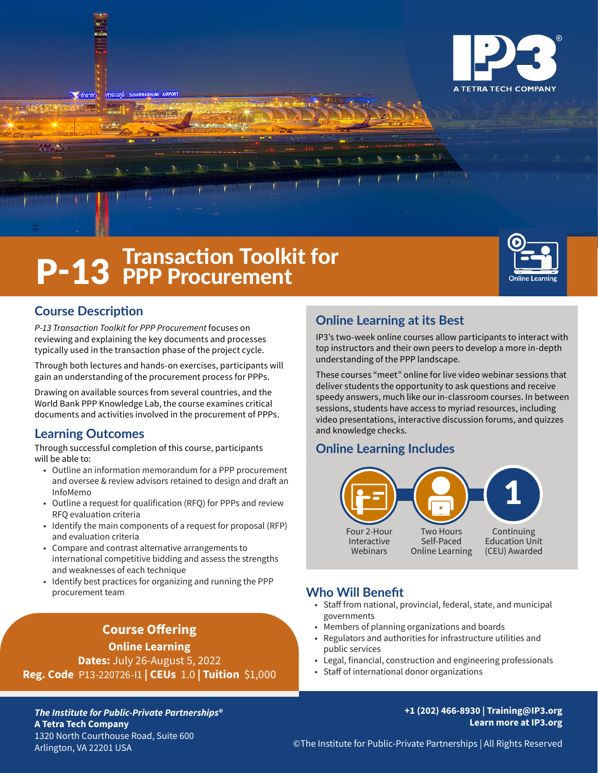

# **P-13** Fransaction Toolkit for



## **Course Description**

*P-13 Transaction Toolkit for PPP Procurement* focuses on reviewing and explaining the key documents and processes typically used in the transaction phase of the project cycle.

Through both lectures and hands-on exercises, participants will gain an understanding of the procurement process for PPPs.

Drawing on available sources from several countries, and the World Bank PPP Knowledge Lab, the course examines critical documents and activities involved in the procurement of PPPs.

## **Learning Outcomes**

Through successful completion of this course, participants will be able to:

- Outline an information memorandum for a PPP procurement and oversee & review advisors retained to design and draft an InfoMemo
- Outline a request for qualification (RFQ) for PPPs and review RFQ evaluation criteria
- Identify the main components of a request for proposal (RFP) and evaluation criteria
- Compare and contrast alternative arrangements to international competitive bidding and assess the strengths and weaknesses of each technique
- Identify best practices for organizing and running the PPP procurement team

## **Course Offering**

**Online Learning Dates:** July 26-August 5, 2022 **Reg. Code** P13-220726-I1 **| CEUs** 1.0 **| Tuition** \$1,000

## **Online Learning at its Best**

IP3's two-week online courses allow participants to interact with top instructors and their own peers to develop a more in-depth understanding of the PPP landscape.

These courses "meet" online for live video webinar sessions that deliver students the opportunity to ask questions and receive speedy answers, much like our in-classroom courses. In between sessions, students have access to myriad resources, including video presentations, interactive discussion forums, and quizzes and knowledge checks.

## **Online Learning Includes**



## **Who Will Benefit**

- Staff from national, provincial, federal, state, and municipal governments
- Members of planning organizations and boards
- Regulators and authorities for infrastructure utilities and public services
- Legal, financial, construction and engineering professionals
- Staff of international donor organizations

*The Institute for Public-Private Partnerships***® A Tetra Tech Company** 1320 North Courthouse Road, Suite 600 Arlington, VA 22201 USA

#### **+1 (202) 466-8930 | Training@IP3.org Learn more at IP3.org**

©The Institute for Public-Private Partnerships | All Rights Reserved